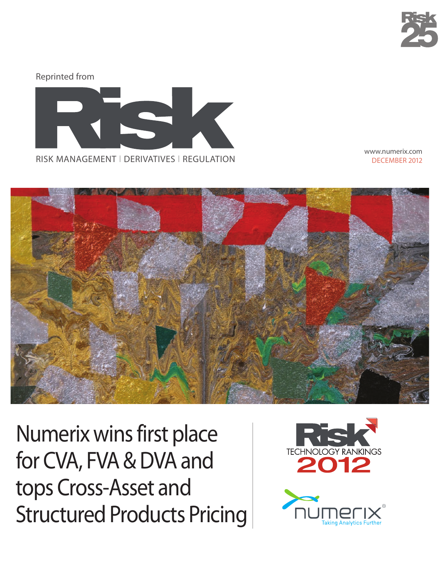



www.numerix.com DECEMBER 2012



Numerix wins first place for CVA, FVA & DVA and tops Cross-Asset and Structured Products Pricing

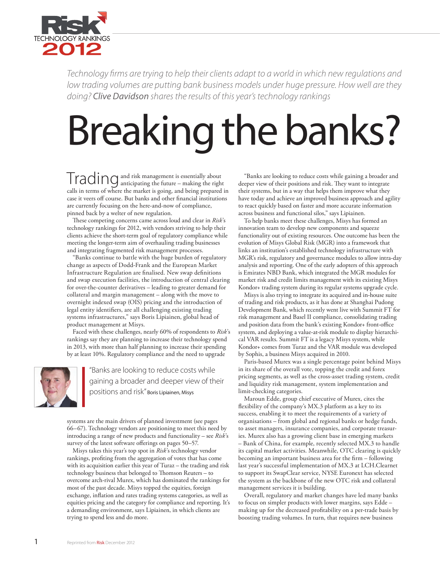

*Technology firms are trying to help their clients adapt to a world in which new regulations and low trading volumes are putting bank business models under huge pressure. How well are they doing? Clive Davidson shares the results of this year's technology rankings*

# Breaking the banks?

Trading and risk management is essentially about<br>Trading anticipating the future – making the right calls in terms of where the market is going, and being prepared in case it veers off course. But banks and other financial institutions are currently focusing on the here-and-now of compliance, pinned back by a welter of new regulation.

These competing concerns came across loud and clear in *Risk*'s technology rankings for 2012, with vendors striving to help their clients achieve the short-term goal of regulatory compliance while meeting the longer-term aim of overhauling trading businesses and integrating fragmented risk management processes.

"Banks continue to battle with the huge burden of regulatory change as aspects of Dodd-Frank and the European Market Infrastructure Regulation are finalised. New swap definitions and swap execution facilities, the introduction of central clearing for over-the-counter derivatives – leading to greater demand for collateral and margin management – along with the move to overnight indexed swap (OIS) pricing and the introduction of legal entity identifiers, are all challenging existing trading systems infrastructures," says Boris Lipiainen, global head of product management at Misys.

Faced with these challenges, nearly 60% of respondents to *Risk*'s rankings say they are planning to increase their technology spend in 2013, with more than half planning to increase their spending by at least 10%. Regulatory compliance and the need to upgrade



"Banks are looking to reduce costs while gaining a broader and deeper view of their positions and risk" Boris Lipiainen, Misys

systems are the main drivers of planned investment (see pages 66–67). Technology vendors are positioning to meet this need by introducing a range of new products and functionality – see *Risk*'s survey of the latest software offerings on pages 50–57.

Misys takes this year's top spot in *Risk*'s technology vendor rankings, profiting from the aggregation of votes that has come with its acquisition earlier this year of Turaz – the trading and risk technology business that belonged to Thomson Reuters – to overcome arch-rival Murex, which has dominated the rankings for most of the past decade. Misys topped the equities, foreign exchange, inflation and rates trading systems categories, as well as equities pricing and the category for compliance and reporting. It's a demanding environment, says Lipiainen, in which clients are trying to spend less and do more.

"Banks are looking to reduce costs while gaining a broader and deeper view of their positions and risk. They want to integrate their systems, but in a way that helps them improve what they have today and achieve an improved business approach and agility to react quickly based on faster and more accurate information across business and functional silos," says Lipiainen.

To help banks meet these challenges, Misys has formed an innovation team to develop new components and squeeze functionality out of existing resources. One outcome has been the evolution of Misys Global Risk (MGR) into a framework that links an institution's established technology infrastructure with MGR's risk, regulatory and governance modules to allow intra-day analysis and reporting. One of the early adopters of this approach is Emirates NBD Bank, which integrated the MGR modules for market risk and credit limits management with its existing Misys Kondor+ trading system during its regular systems upgrade cycle.

Misys is also trying to integrate its acquired and in-house suite of trading and risk products, as it has done at Shanghai Pudong Development Bank, which recently went live with Summit FT for risk management and Basel II compliance, consolidating trading and position data from the bank's existing Kondor+ front-office system, and deploying a value-at-risk module to display hierarchical VAR results. Summit FT is a legacy Misys system, while Kondor+ comes from Turaz and the VAR module was developed by Sophis, a business Misys acquired in 2010.

Paris-based Murex was a single percentage point behind Misys in its share of the overall vote, topping the credit and forex pricing segments, as well as the cross-asset trading system, credit and liquidity risk management, system implementation and limit-checking categories.

Maroun Edde, group chief executive of Murex, cites the flexibility of the company's MX.3 platform as a key to its success, enabling it to meet the requirements of a variety of organisations – from global and regional banks or hedge funds, to asset managers, insurance companies, and corporate treasuries. Murex also has a growing client base in emerging markets – Bank of China, for example, recently selected MX.3 to handle its capital market activities. Meanwhile, OTC clearing is quickly becoming an important business area for the firm – following last year's successful implementation of MX.3 at LCH.Clearnet to support its SwapClear service, NYSE Euronext has selected the system as the backbone of the new OTC risk and collateral management services it is building.

Overall, regulatory and market changes have led many banks to focus on simpler products with lower margins, says Edde – making up for the decreased profitability on a per-trade basis by boosting trading volumes. In turn, that requires new business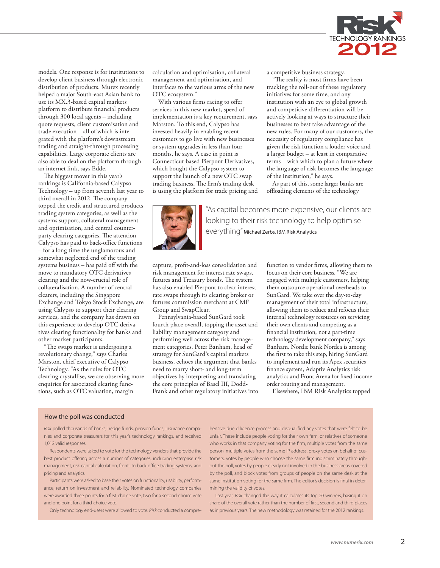

models. One response is for institutions to develop client business through electronic distribution of products. Murex recently helped a major South-east Asian bank to use its MX.3-based capital markets platform to distribute financial products through 300 local agents – including quote requests, client customisation and trade execution – all of which is integrated with the platform's downstream trading and straight-through processing capabilities. Large corporate clients are also able to deal on the platform through an internet link, says Edde.

The biggest mover in this year's rankings is California-based Calypso Technology – up from seventh last year to third overall in 2012. The company topped the credit and structured products trading system categories, as well as the systems support, collateral management and optimisation, and central counterparty clearing categories. The attention Calypso has paid to back-office functions – for a long time the unglamorous and somewhat neglected end of the trading systems business – has paid off with the move to mandatory OTC derivatives clearing and the now-crucial role of collateralisation. A number of central clearers, including the Singapore Exchange and Tokyo Stock Exchange, are using Calypso to support their clearing services, and the company has drawn on this experience to develop OTC derivatives clearing functionality for banks and other market participants.

"The swaps market is undergoing a revolutionary change," says Charles Marston, chief executive of Calypso Technology. "As the rules for OTC clearing crystallise, we are observing more enquiries for associated clearing functions, such as OTC valuation, margin

calculation and optimisation, collateral management and optimisation, and interfaces to the various arms of the new OTC ecosystem."

With various firms racing to offer services in this new market, speed of implementation is a key requirement, says Marston. To this end, Calypso has invested heavily in enabling recent customers to go live with new businesses or system upgrades in less than four months, he says. A case in point is Connecticut-based Pierpont Derivatives, which bought the Calypso system to support the launch of a new OTC swap trading business. The firm's trading desk is using the platform for trade pricing and a competitive business strategy.

"The reality is most firms have been tracking the roll-out of these regulatory initiatives for some time, and any institution with an eye to global growth and competitive differentiation will be actively looking at ways to structure their businesses to best take advantage of the new rules. For many of our customers, the necessity of regulatory compliance has given the risk function a louder voice and a larger budget – at least in comparative terms – with which to plan a future where the language of risk becomes the language of the institution," he says.

As part of this, some larger banks are offloading elements of the technology



"As capital becomes more expensive, our clients are looking to their risk technology to help optimise everything" Michael Zerbs, IBM Risk Analytics

capture, profit-and-loss consolidation and risk management for interest rate swaps, futures and Treasury bonds. The system has also enabled Pierpont to clear interest rate swaps through its clearing broker or futures commission merchant at CME Group and SwapClear.

Pennsylvania-based SunGard took fourth place overall, topping the asset and liability management category and performing well across the risk management categories. Peter Banham, head of strategy for SunGard's capital markets business, echoes the argument that banks need to marry short- and long-term objectives by interpreting and translating the core principles of Basel III, Dodd-Frank and other regulatory initiatives into function to vendor firms, allowing them to focus on their core business. "We are engaged with multiple customers, helping them outsource operational overheads to SunGard. We take over the day-to-day management of their total infrastructure, allowing them to reduce and refocus their internal technology resources on servicing their own clients and competing as a financial institution, not a part-time technology development company," says Banham. Nordic bank Nordea is among the first to take this step, hiring SunGard to implement and run its Apex securities finance system, Adaptiv Analytics risk analytics and Front Arena for fixed-income order routing and management.

Elsewhere, IBM Risk Analytics topped

### How the poll was conducted

*Risk* polled thousands of banks, hedge funds, pension funds, insurance companies and corporate treasurers for this year's technology rankings, and received 1,012 valid responses.

Respondents were asked to vote for the technology vendors that provide the best product offering across a number of categories, including enterprise risk management, risk capital calculation, front- to back-office trading systems, and pricing and analytics.

Participants were asked to base their votes on functionality, usability, performance, return on investment and reliability. Nominated technology companies were awarded three points for a first-choice vote, two for a second-choice vote and one point for a third-choice vote.

Only technology end-users were allowed to vote. *Risk* conducted a compre-

hensive due diligence process and disqualified any votes that were felt to be unfair. These include people voting for their own firm, or relatives of someone who works in that company voting for the firm, multiple votes from the same person, multiple votes from the same IP address, proxy votes on behalf of customers, votes by people who choose the same firm indiscriminately throughout the poll, votes by people clearly not involved in the business areas covered by the poll, and block votes from groups of people on the same desk at the same institution voting for the same firm. The editor's decision is final in determining the validity of votes.

Last year, *Risk* changed the way it calculates its top 20 winners, basing it on share of the overall vote rather than the number of first, second and third places as in previous years. The new methodology was retained for the 2012 rankings.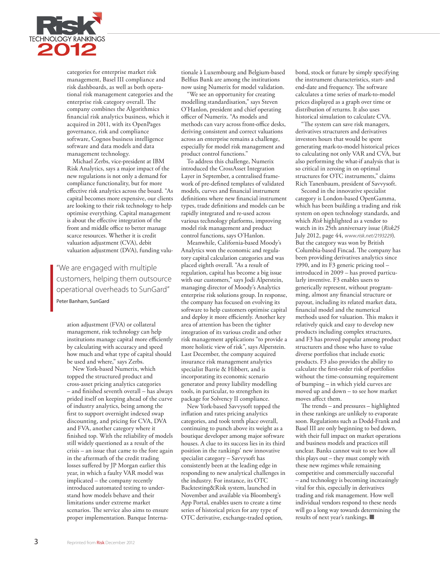

categories for enterprise market risk management, Basel III compliance and risk dashboards, as well as both operational risk management categories and the enterprise risk category overall. The company combines the Algorithmics financial risk analytics business, which it acquired in 2011, with its OpenPages governance, risk and compliance software, Cognos business intelligence software and data models and data management technology.

Michael Zerbs, vice-president at IBM Risk Analytics, says a major impact of the new regulations is not only a demand for compliance functionality, but for more effective risk analytics across the board. "As capital becomes more expensive, our clients are looking to their risk technology to help optimise everything. Capital management is about the effective integration of the front and middle office to better manage scarce resources. Whether it is credit valuation adjustment (CVA), debit valuation adjustment (DVA), funding valu-

"We are engaged with multiple customers, helping them outsource operational overheads to SunGard" Peter Banham, SunGard

ation adjustment (FVA) or collateral management, risk technology can help institutions manage capital more efficiently by calculating with accuracy and speed how much and what type of capital should be used and where," says Zerbs.

New York-based Numerix, which topped the structured product and cross-asset pricing analytics categories – and finished seventh overall – has always prided itself on keeping ahead of the curve of industry analytics, being among the first to support overnight indexed swap discounting, and pricing for CVA, DVA and FVA, another category where it finished top. With the reliability of models still widely questioned as a result of the crisis – an issue that came to the fore again in the aftermath of the credit trading losses suffered by JP Morgan earlier this year, in which a faulty VAR model was implicated – the company recently introduced automated testing to understand how models behave and their limitations under extreme market scenarios. The service also aims to ensure proper implementation. Banque Interna-

tionale à Luxembourg and Belgium-based Belfius Bank are among the institutions now using Numerix for model validation.

"We see an opportunity for creating modelling standardisation," says Steven O'Hanlon, president and chief operating officer of Numerix. "As models and methods can vary across front-office desks, deriving consistent and correct valuations across an enterprise remains a challenge, especially for model risk management and product control functions."

To address this challenge, Numerix introduced the CrossAsset Integration Layer in September, a centralised framework of pre-defined templates of validated models, curves and financial instrument definitions where new financial instrument types, trade definitions and models can be rapidly integrated and re-used across various technology platforms, improving model risk management and product control functions, says O'Hanlon.

Meanwhile, California-based Moody's Analytics won the economic and regulatory capital calculation categories and was placed eighth overall. "As a result of regulation, capital has become a big issue with our customers," says Jodi Alperstein, managing director of Moody's Analytics enterprise risk solutions group. In response, the company has focused on evolving its software to help customers optimise capital and deploy it more efficiently. Another key area of attention has been the tighter integration of its various credit and other risk management applications "to provide a more holistic view of risk", says Alperstein. Last December, the company acquired insurance risk management analytics specialist Barrie & Hibbert, and is incorporating its economic scenario generator and proxy liability modelling tools, in particular, to strengthen its package for Solvency II compliance.

New York-based Savvysoft topped the inflation and rates pricing analytics categories, and took tenth place overall, continuing to punch above its weight as a boutique developer among major software houses. A clue to its success lies in its third position in the rankings' new innovative specialist category – Savvysoft has consistently been at the leading edge in responding to new analytical challenges in the industry. For instance, its OTC Backtesting&Risk system, launched in November and available via Bloomberg's App Portal, enables users to create a time series of historical prices for any type of OTC derivative, exchange-traded option,

bond, stock or future by simply specifying the instrument characteristics, start- and end-date and frequency. The software calculates a time series of mark-to-model prices displayed as a graph over time or distribution of returns. It also uses historical simulation to calculate CVA.

"The system can save risk managers, derivatives structurers and derivatives investors hours that would be spent generating mark-to-model historical prices to calculating not only VAR and CVA, but also performing the what-if analysis that is so critical in zeroing in on optimal structures for OTC instruments," claims Rich Tanenbaum, president of Savvysoft.

Second in the innovative specialist category is London-based OpenGamma, which has been building a trading and risk system on open technology standards, and which *Risk* highlighted as a vendor to watch in its 25th anniversary issue (*Risk25* July 2012, page 44, *www.risk.net/2193229*). But the category was won by British Columbia-based Fincad. The company has been providing derivatives analytics since 1990, and its F3 generic pricing tool – introduced in 2009 – has proved particularly inventive. F3 enables users to generically represent, without programming, almost any financial structure or payout, including its related market data, financial model and the numerical methods used for valuation. This makes it relatively quick and easy to develop new products including complex structures, and F3 has proved popular among product structurers and those who have to value diverse portfolios that include exotic products. F3 also provides the ability to calculate the first-order risk of portfolios without the time-consuming requirement of bumping – in which yield curves are moved up and down – to see how market moves affect them.

The trends – and pressures – highlighted in these rankings are unlikely to evaporate soon. Regulations such as Dodd-Frank and Basel III are only beginning to bed down, with their full impact on market operations and business models and practices still unclear. Banks cannot wait to see how all this plays out – they must comply with these new regimes while remaining competitive and commercially successful – and technology is becoming increasingly vital for this, especially in derivatives trading and risk management. How well individual vendors respond to these needs will go a long way towards determining the results of next year's rankings. ■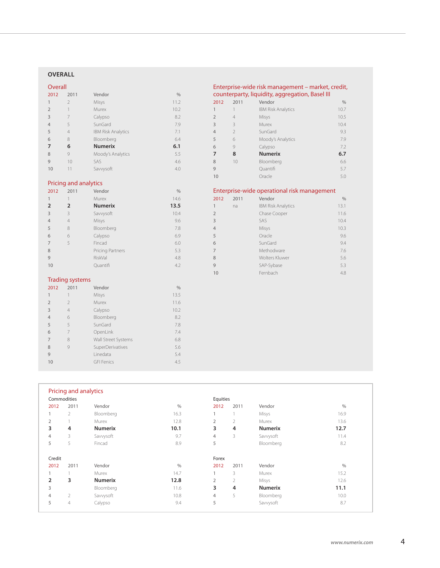## **overall**

# Overall

| -----          |                |                           |               |
|----------------|----------------|---------------------------|---------------|
| 2012           | 2011           | Vendor                    | $\frac{0}{0}$ |
| 1              | $\overline{2}$ | Misys                     | 11.2          |
| $\overline{2}$ | 1              | Murex                     | 10.2          |
| 3              | 7              | Calypso                   | 8.2           |
| $\overline{4}$ | 5              | SunGard                   | 7.9           |
| 5              | $\overline{4}$ | <b>IBM Risk Analytics</b> | 7.1           |
| 6              | 8              | Bloomberg                 | 6.4           |
| 7              | 6              | <b>Numerix</b>            | 6.1           |
| 8              | 9              | Moody's Analytics         | 5.5           |
| 9              | 10             | SAS                       | 4.6           |
| 10             | 11             | Savvysoft                 | 4.0           |
|                |                |                           |               |
|                |                |                           |               |

# Enterprise-wide risk management – market, credit, counterparty, liquidity, aggregation, Basel III

| 2012           | 2011           | Vendor                    | $\frac{0}{0}$ |
|----------------|----------------|---------------------------|---------------|
| 1              |                | <b>IBM Risk Analytics</b> | 10.7          |
| $\overline{2}$ | $\overline{4}$ | Misys                     | 10.5          |
| 3              | 3              | Murex                     | 10.4          |
| 4              | $\mathcal{P}$  | SunGard                   | 9.3           |
| 5              | 6              | Moody's Analytics         | 7.9           |
| 6              | 9              | Calypso                   | 7.2           |
| 7              | 8              | <b>Numerix</b>            | 6.7           |
| 8              | 10             | Bloomberg                 | 6.6           |
| 9              |                | Quantifi                  | 5.7           |
| 10             |                | Oracle                    | 5.0           |

# Pricing and analytics

| 2012           | 2011                   | Vendor           | $\%$ |
|----------------|------------------------|------------------|------|
| 1              | 1                      | Murex            | 14.6 |
| $\overline{2}$ | 2                      | <b>Numerix</b>   | 13.5 |
| 3              | 3                      | Savvysoft        | 10.4 |
| $\overline{4}$ | $\overline{4}$         | Misys            | 9.6  |
| 5              | 8                      | Bloomberg        | 7.8  |
| 6              | 6                      | Calypso          | 6.9  |
| 7              | 5                      | Fincad           | 6.0  |
| 8              |                        | Pricing Partners | 5.3  |
| 9              |                        | RiskVal          | 4.8  |
| 10             |                        | Quantifi         | 4.2  |
|                |                        |                  |      |
|                | <b>Trading systems</b> |                  |      |
| 2012           | 2011                   | Vendor           | $\%$ |
| 1              | 1                      | Misys            | 13.5 |
| $\overline{2}$ | $\overline{2}$         | Murex            | 11.6 |
| 3              | $\overline{4}$         | Calypso          | 10.2 |
| $\overline{4}$ | 6                      | Bloomberg        | 8.2  |
| 5              | 5                      | SunGard          | 7.8  |

 7 OpenLink 7.4 7 8 Wall Street Systems 6.8 8 9 SuperDerivatives 5.6 Linedata 5.4 GFI Fenics 4.5

# Enterprise-wide operational risk management

| 2012           | 2011 | Vendor                    | $\frac{0}{0}$ |
|----------------|------|---------------------------|---------------|
| 1              | na   | <b>IBM Risk Analytics</b> | 13.1          |
| $\overline{2}$ |      | Chase Cooper              | 11.6          |
| $\overline{3}$ |      | SAS                       | 10.4          |
| 4              |      | Misys                     | 10.3          |
| 5              |      | Oracle                    | 9.6           |
| 6              |      | SunGard                   | 9.4           |
| $\overline{7}$ |      | Methodware                | 7.6           |
| 8              |      | Wolters Kluwer            | 5.6           |
| 9              |      | SAP-Sybase                | 5.3           |
| 10             |      | Fernbach                  | 4.8           |
|                |      |                           |               |

| Commodities    |                |                |               | Equities       |                |                |               |
|----------------|----------------|----------------|---------------|----------------|----------------|----------------|---------------|
| 2012           | 2011           | Vendor         | $\frac{0}{0}$ | 2012           | 2011           | Vendor         | $\frac{0}{0}$ |
|                | $\overline{2}$ | Bloomberg      | 16.3          |                |                | Misys          | 16.9          |
| $\overline{2}$ |                | Murex          | 12.8          | $\overline{2}$ | $\overline{2}$ | Murex          | 13.6          |
| 3              | 4              | <b>Numerix</b> | 10.1          | 3              | 4              | <b>Numerix</b> | 12.7          |
| 4              | 3              | Savvysoft      | 9.7           | $\overline{4}$ | 3              | Savvysoft      | 11.4          |
| 5              | 5              | Fincad         | 8.9           | 5              |                | Bloomberg      | 8.2           |
| Credit         |                |                |               | Forex          |                |                |               |
| 2012           | 2011           | Vendor         | $\frac{0}{0}$ | 2012           | 2011           | Vendor         | $\frac{0}{6}$ |
|                |                | Murex          | 14.7          | 1              | 3              | Murex          | 15.2          |
| $\overline{2}$ | 3              | <b>Numerix</b> | 12.8          | $\overline{2}$ | $\overline{2}$ | Misys          | 12.6          |
| 3              |                | Bloomberg      | 11.6          | 3              | 4              | <b>Numerix</b> | 11.1          |
| 4              | $\overline{2}$ | Savvysoft      | 10.8          | $\overline{4}$ | 5              | Bloomberg      | 10.0          |
| 5              | 4              | Calypso        | 9.4           | 5              |                | Savvysoft      | 8.7           |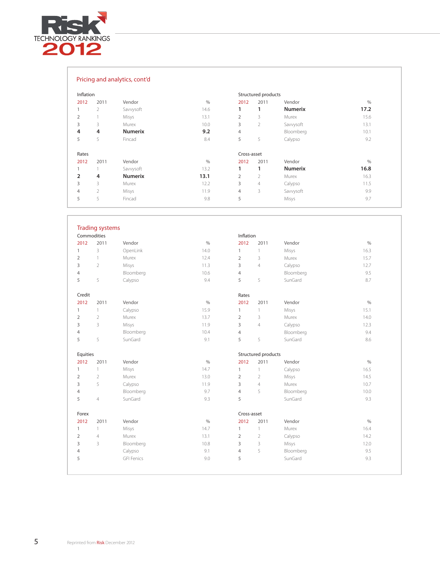

| Pricing and analytics, cont'd |  |  |  |  |  |
|-------------------------------|--|--|--|--|--|
|-------------------------------|--|--|--|--|--|

| Inflation |                |                |      |                | Structured products |                |      |
|-----------|----------------|----------------|------|----------------|---------------------|----------------|------|
| 2012      | 2011           | Vendor         | $\%$ | 2012           | 2011                | Vendor         | $\%$ |
|           | $\overline{2}$ | Savvysoft      | 14.6 | 1              | 1                   | <b>Numerix</b> | 17.2 |
|           |                | Misys          | 13.1 | $\overline{2}$ | 3                   | Murex          | 15.6 |
|           | 3              | Murex          | 10.0 | 3              | $\overline{2}$      | Savvysoft      | 13.1 |
|           | 4              | <b>Numerix</b> | 9.2  | $\overline{4}$ |                     | Bloomberg      | 10.1 |
|           | 5              | Fincad         | 8.4  | 5              | 5                   | Calypso        | 9.2  |
| Rates     |                |                |      | Cross-asset    |                     |                |      |
| 2012      | 2011           | Vendor         | $\%$ | 2012           | 2011                | Vendor         | $\%$ |
|           |                | Savvysoft      | 13.2 | 1              | 1                   | <b>Numerix</b> | 16.8 |
|           | 4              | <b>Numerix</b> | 13.1 | $\overline{2}$ | $\overline{2}$      | Murex          | 16.3 |
|           | 3              | Murex          | 12.2 | 3              | $\overline{4}$      | Calypso        | 11.5 |
|           | $\overline{2}$ | Misys          | 11.9 | $\overline{4}$ | 3                   | Savvysoft      | 9.9  |
|           | 5              | Fincad         | 9.8  | 5              |                     | Misys          | 9.7  |

|                | <b>Trading systems</b> |                   |               |                |                     |           |               |
|----------------|------------------------|-------------------|---------------|----------------|---------------------|-----------|---------------|
|                | Commodities            |                   |               | Inflation      |                     |           |               |
| 2012           | 2011                   | Vendor            | $\frac{0}{0}$ | 2012           | 2011                | Vendor    | $\%$          |
| $\mathbf{1}$   | 3                      | OpenLink          | 14.0          | $\mathbf{1}$   | $\uparrow$          | Misys     | 16.3          |
| $\overline{2}$ | $\mathbf{1}$           | Murex             | 12.4          | $\overline{2}$ | 3                   | Murex     | 15.7          |
| 3              | $\overline{2}$         | Misys             | 11.3          | 3              | $\sqrt{4}$          | Calypso   | 12.7          |
| 4              |                        | Bloomberg         | 10.6          | $\overline{4}$ |                     | Bloomberg | 9.5           |
| 5              | 5                      | Calypso           | 9.4           | 5              | 5                   | SunGard   | 8.7           |
| Credit         |                        |                   |               | Rates          |                     |           |               |
| 2012           | 2011                   | Vendor            | $\%$          | 2012           | 2011                | Vendor    | $\frac{0}{0}$ |
| $\mathbf{1}$   | $\mathbf{1}$           | Calypso           | 15.9          | $\mathbf{1}$   | $\mathbf{1}$        | Misys     | 15.1          |
| $\overline{2}$ | $\overline{2}$         | Murex             | 13.7          | $\overline{2}$ | 3                   | Murex     | 14.0          |
| 3              | 3                      | Misys             | 11.9          | 3              | $\overline{4}$      | Calypso   | 12.3          |
| 4              |                        | Bloomberg         | 10.4          | $\overline{4}$ |                     | Bloomberg | 9.4           |
| 5              | 5                      | SunGard           | 9.1           | 5              | 5                   | SunGard   | 8.6           |
| Equities       |                        |                   |               |                | Structured products |           |               |
| 2012           | 2011                   | Vendor            | $\%$          | 2012           | 2011                | Vendor    | $\%$          |
| $\mathbf{1}$   | $\left  \right $       | Misys             | 14.7          | $\mathbf{1}$   | $\mathbf{1}$        | Calypso   | 16.5          |
| $\overline{2}$ | $\overline{2}$         | Murex             | 13.0          | $\overline{2}$ | $\overline{2}$      | Misys     | 14.5          |
| 3              | 5                      | Calypso           | 11.9          | 3              | $\overline{4}$      | Murex     | 10.7          |
| $\overline{4}$ |                        | Bloomberg         | 9.7           | $\overline{4}$ | 5                   | Bloomberg | 10.0          |
| 5              | $\sqrt{4}$             | SunGard           | 9.3           | 5              |                     | SunGard   | 9.3           |
| Forex          |                        |                   |               | Cross-asset    |                     |           |               |
| 2012           | 2011                   | Vendor            | $\%$          | 2012           | 2011                | Vendor    | $\%$          |
| 1              | $\mathbb{1}$           | Misys             | 14.7          | $\mathbf{1}$   | $\mathbf{1}$        | Murex     | 16.4          |
| $\overline{2}$ | $\overline{4}$         | Murex             | 13.1          | $\overline{2}$ | $\overline{2}$      | Calypso   | 14.2          |
| 3              | 3                      | Bloomberg         | 10.8          | 3              | 3                   | Misys     | 12.0          |
| 4              |                        | Calypso           | 9.1           | $\overline{4}$ | 5                   | Bloomberg | 9.5           |
| 5              |                        | <b>GFI Fenics</b> | 9.0           | 5              |                     | SunGard   | 9.3           |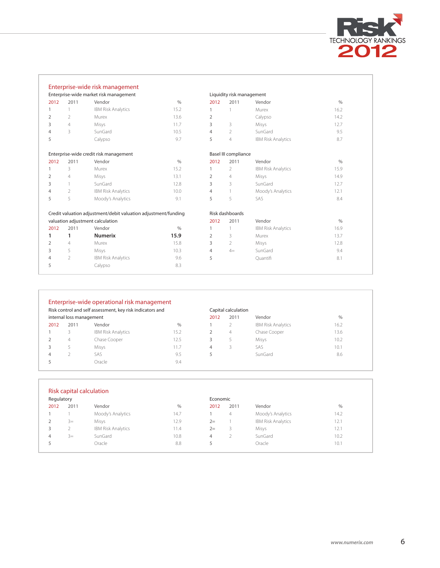

|      |                | Enterprise-wide risk management                                |               |                |                           |                           |               |
|------|----------------|----------------------------------------------------------------|---------------|----------------|---------------------------|---------------------------|---------------|
|      |                | Enterprise-wide market risk management                         |               |                | Liquidity risk management |                           |               |
| 2012 | 2011           | Vendor                                                         | $\frac{0}{0}$ | 2012           | 2011                      | Vendor                    | $\frac{0}{0}$ |
|      | 1              | <b>IBM Risk Analytics</b>                                      | 15.2          |                |                           | Murex                     | 16.2          |
| 2    | 2              | Murex                                                          | 13.6          | 2              |                           | Calypso                   | 14.2          |
| 3    | $\overline{4}$ | Misys                                                          | 11.7          | 3              | 3                         | Misys                     | 12.7          |
| 4    | 3              | SunGard                                                        | 10.5          | 4              | 2                         | SunGard                   | 9.5           |
| 5    |                | Calypso                                                        | 9.7           | 5              | $\overline{4}$            | <b>IBM Risk Analytics</b> | 8.7           |
|      |                | Enterprise-wide credit risk management                         |               |                | Basel III compliance      |                           |               |
| 2012 | 2011           | Vendor                                                         | $\%$          | 2012           | 2011                      | Vendor                    | $\frac{0}{0}$ |
|      | 3              | Murex                                                          | 15.2          |                | 2                         | <b>IBM Risk Analytics</b> | 15.9          |
| 2    | 4              | Misys                                                          | 13.1          | 2              | $\overline{4}$            | Misys                     | 14.9          |
| 3    |                | SunGard                                                        | 12.8          | 3              | 3                         | SunGard                   | 12.7          |
| 4    | 2              | <b>IBM Risk Analytics</b>                                      | 10.0          | 4              |                           | Moody's Analytics         | 12.1          |
| 5    | 5              | Moody's Analytics                                              | 9.1           | 5              | 5                         | SAS                       | 8.4           |
|      |                | Credit valuation adjustment/debit valuation adjustment/funding |               |                | Risk dashboards           |                           |               |
|      |                | valuation adjustment calculation                               |               | 2012           | 2011                      | Vendor                    | $\%$          |
| 2012 | 2011           | Vendor                                                         | $\frac{0}{0}$ |                |                           | <b>IBM Risk Analytics</b> | 16.9          |
| 1    | 1              | <b>Numerix</b>                                                 | 15.9          | $\overline{2}$ | 3                         | Murex                     | 13.7          |
| 2    | $\overline{4}$ | Murex                                                          | 15.8          | 3              | $\overline{2}$            | Misys                     | 12.8          |
| 3    | 5              | Misys                                                          | 10.3          | 4              | $4=$                      | SunGard                   | 9.4           |
| 4    | $\overline{2}$ | <b>IBM Risk Analytics</b>                                      | 9.6           | 5              |                           | Quantifi                  | 8.1           |
| 5    |                | Calypso                                                        | 8.3           |                |                           |                           |               |
|      |                |                                                                |               |                |                           |                           |               |

| Risk control and self assessment, key risk indicators and |                          |                           |      |      | Capital calculation |                           |      |
|-----------------------------------------------------------|--------------------------|---------------------------|------|------|---------------------|---------------------------|------|
|                                                           | internal loss management |                           |      | 2012 | 2011                | Vendor                    | $\%$ |
| 2012                                                      | 2011                     | Vendor                    | $\%$ |      |                     | <b>IBM Risk Analytics</b> | 16.2 |
|                                                           |                          | <b>IBM Risk Analytics</b> | 15.2 |      | 4                   | Chase Cooper              | 13.6 |
|                                                           | 4                        | Chase Cooper              | 12.5 | 3    |                     | Misys                     | 10.2 |
| 3                                                         |                          | Misys                     | 11.7 | 4    |                     | SAS                       | 10.1 |
| 4                                                         |                          | SAS                       | 9.5  |      |                     | SunGard                   | 8.6  |
|                                                           |                          | Oracle                    | 9.4  |      |                     |                           |      |

| Regulatory |      |                           |      | Economic |      |                           |      |
|------------|------|---------------------------|------|----------|------|---------------------------|------|
| 2012       | 2011 | Vendor                    | $\%$ | 2012     | 2011 | Vendor                    | $\%$ |
|            |      | Moody's Analytics         | 14.7 |          | 4    | Moody's Analytics         | 14.2 |
|            | $3=$ | Misys                     | 12.9 | $2=$     |      | <b>IBM Risk Analytics</b> | 12.1 |
| 3          |      | <b>IBM Risk Analytics</b> | 11.4 | $2=$     | 3    | Misys                     | 12.1 |
| 4          | $3=$ | SunGard                   | 10.8 | 4        |      | SunGard                   | 10.2 |
|            |      | Oracle                    | 8.8  | 5        |      | Oracle                    | 10.1 |